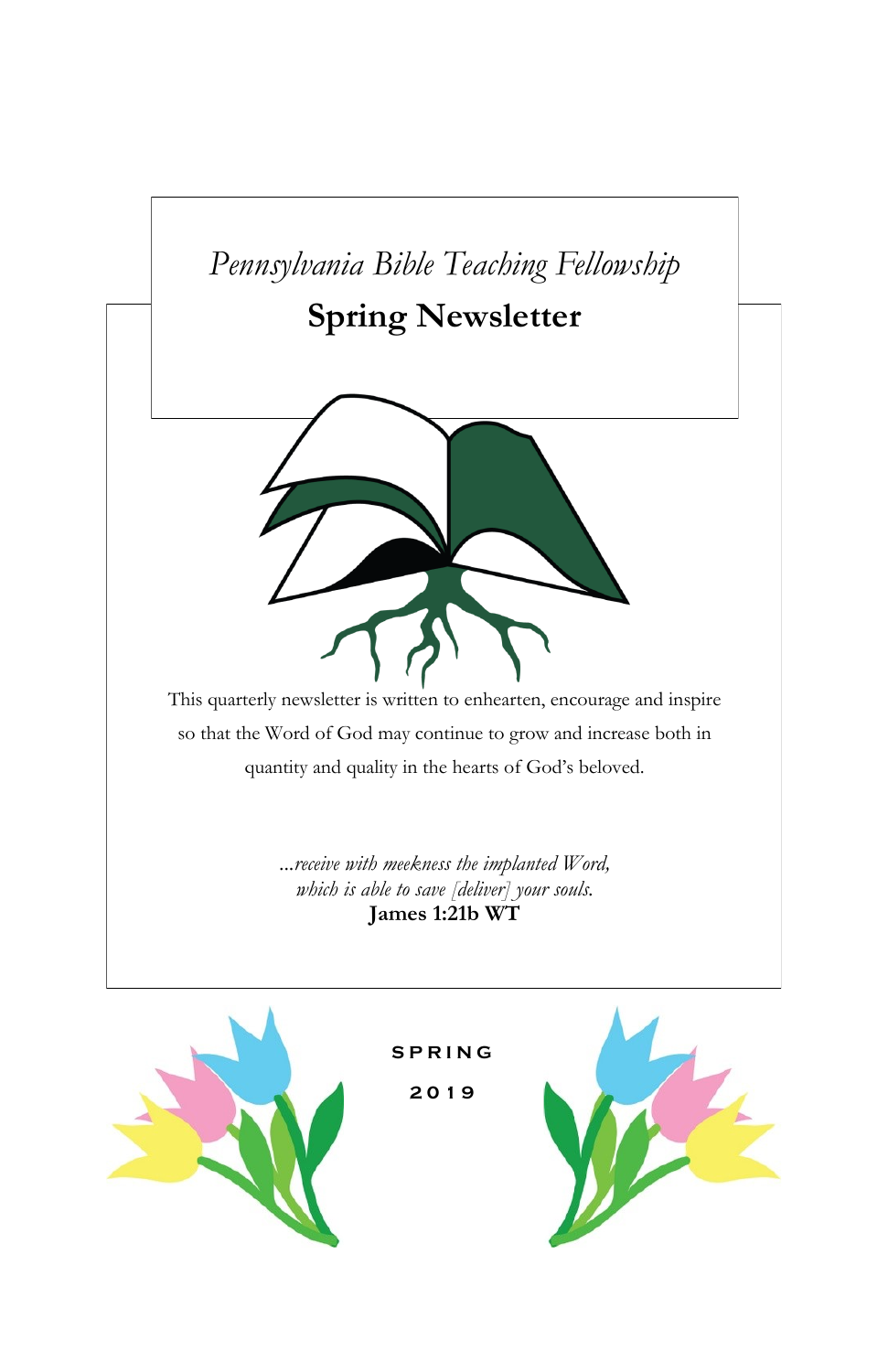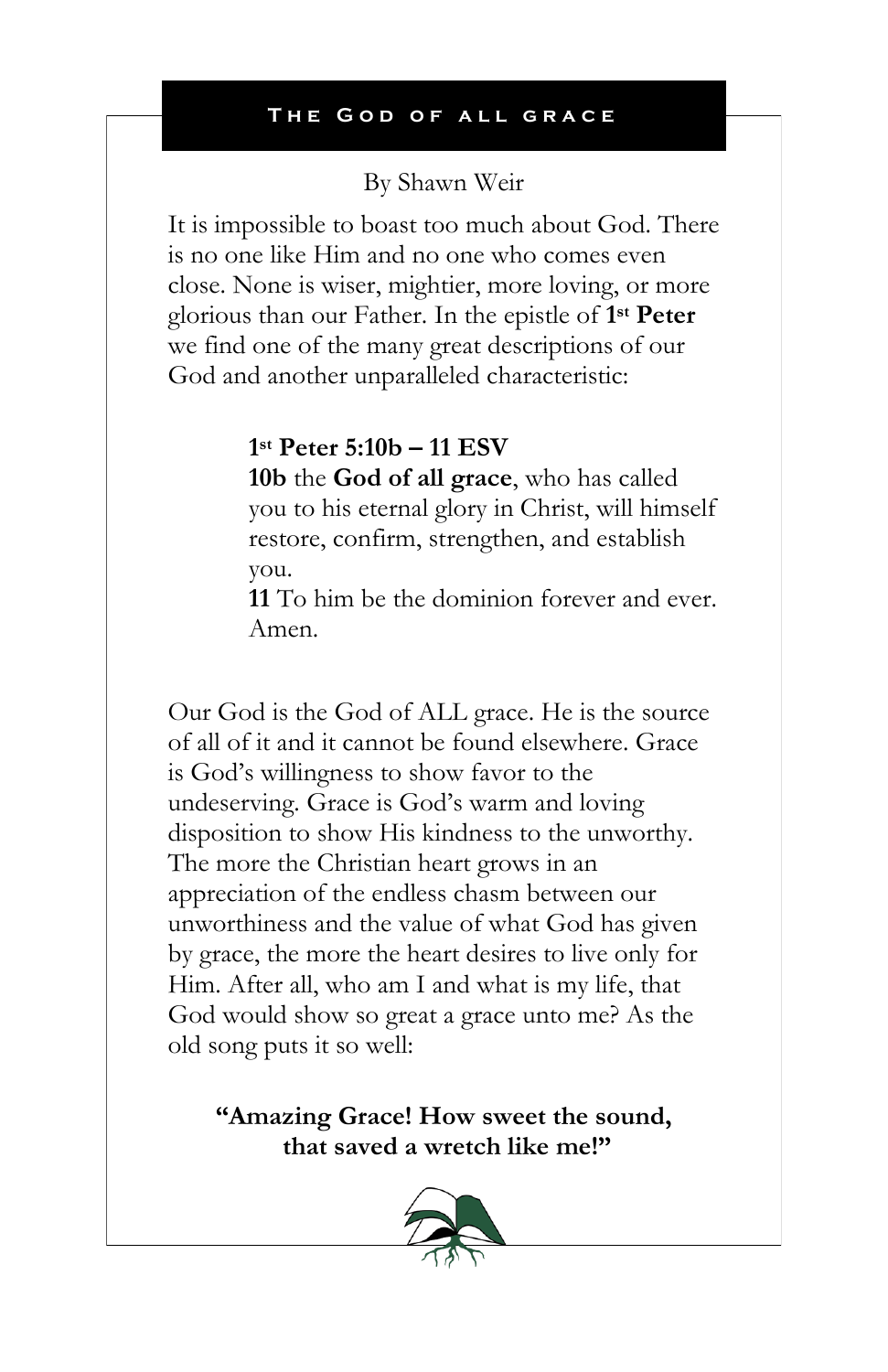## By Shawn Weir

It is impossible to boast too much about God. There is no one like Him and no one who comes even close. None is wiser, mightier, more loving, or more glorious than our Father. In the epistle of **1 st Peter** we find one of the many great descriptions of our God and another unparalleled characteristic:

# **1 st Peter 5:10b – 11 ESV**

**10b** the **God of all grace**, who has called you to his eternal glory in Christ, will himself restore, confirm, strengthen, and establish you.

**11** To him be the dominion forever and ever. Amen.

Our God is the God of ALL grace. He is the source of all of it and it cannot be found elsewhere. Grace is God's willingness to show favor to the undeserving. Grace is God's warm and loving disposition to show His kindness to the unworthy. The more the Christian heart grows in an appreciation of the endless chasm between our unworthiness and the value of what God has given by grace, the more the heart desires to live only for Him. After all, who am I and what is my life, that God would show so great a grace unto me? As the old song puts it so well:

**"Amazing Grace! How sweet the sound, that saved a wretch like me!"**

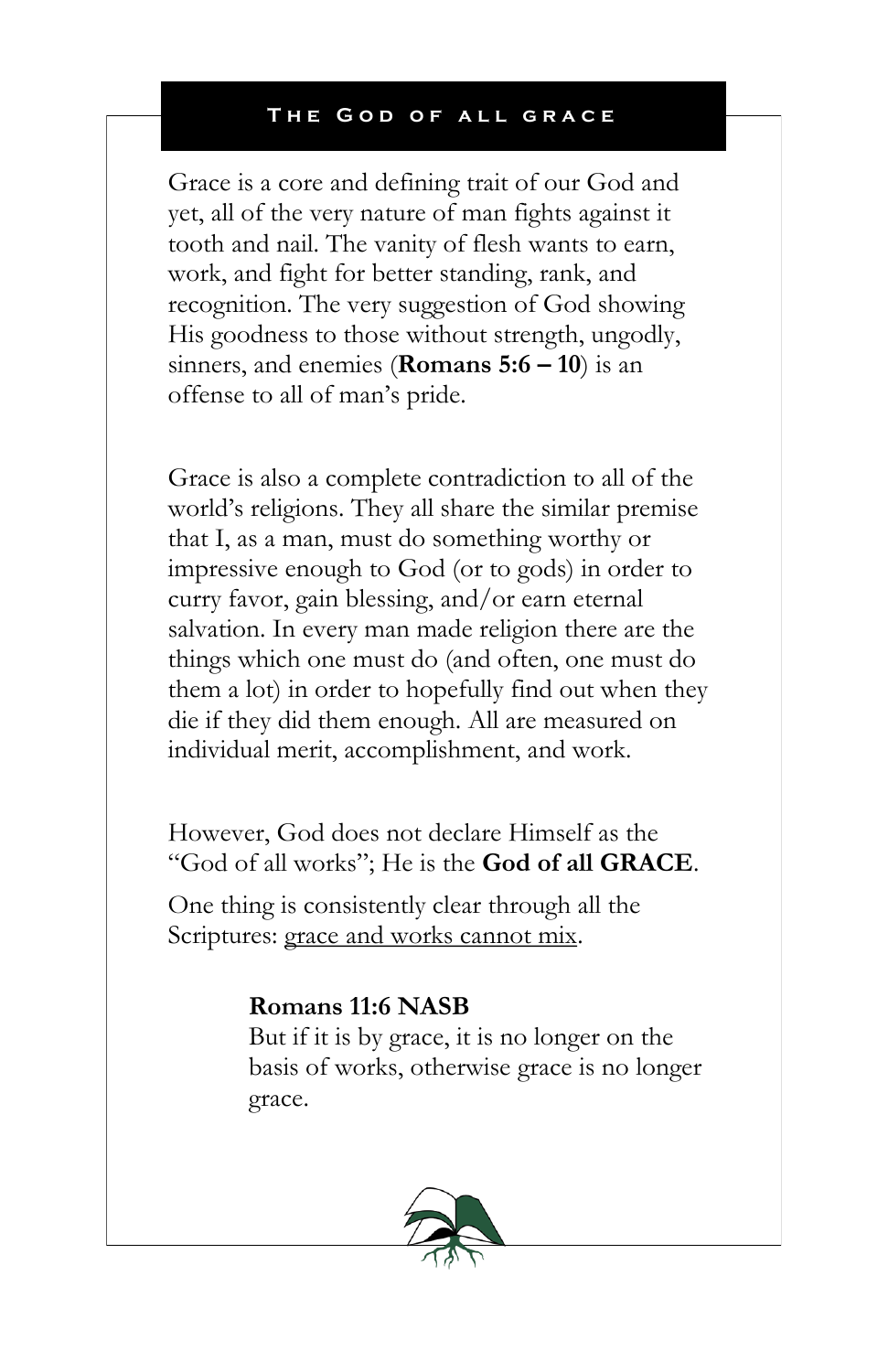Grace is a core and defining trait of our God and yet, all of the very nature of man fights against it tooth and nail. The vanity of flesh wants to earn, work, and fight for better standing, rank, and recognition. The very suggestion of God showing His goodness to those without strength, ungodly, sinners, and enemies (**Romans 5:6 – 10**) is an offense to all of man's pride.

Grace is also a complete contradiction to all of the world's religions. They all share the similar premise that I, as a man, must do something worthy or impressive enough to God (or to gods) in order to curry favor, gain blessing, and/or earn eternal salvation. In every man made religion there are the things which one must do (and often, one must do them a lot) in order to hopefully find out when they die if they did them enough. All are measured on individual merit, accomplishment, and work.

However, God does not declare Himself as the "God of all works"; He is the **God of all GRACE**.

One thing is consistently clear through all the Scriptures: grace and works cannot mix.

## **Romans 11:6 NASB**

But if it is by grace, it is no longer on the basis of works, otherwise grace is no longer grace.

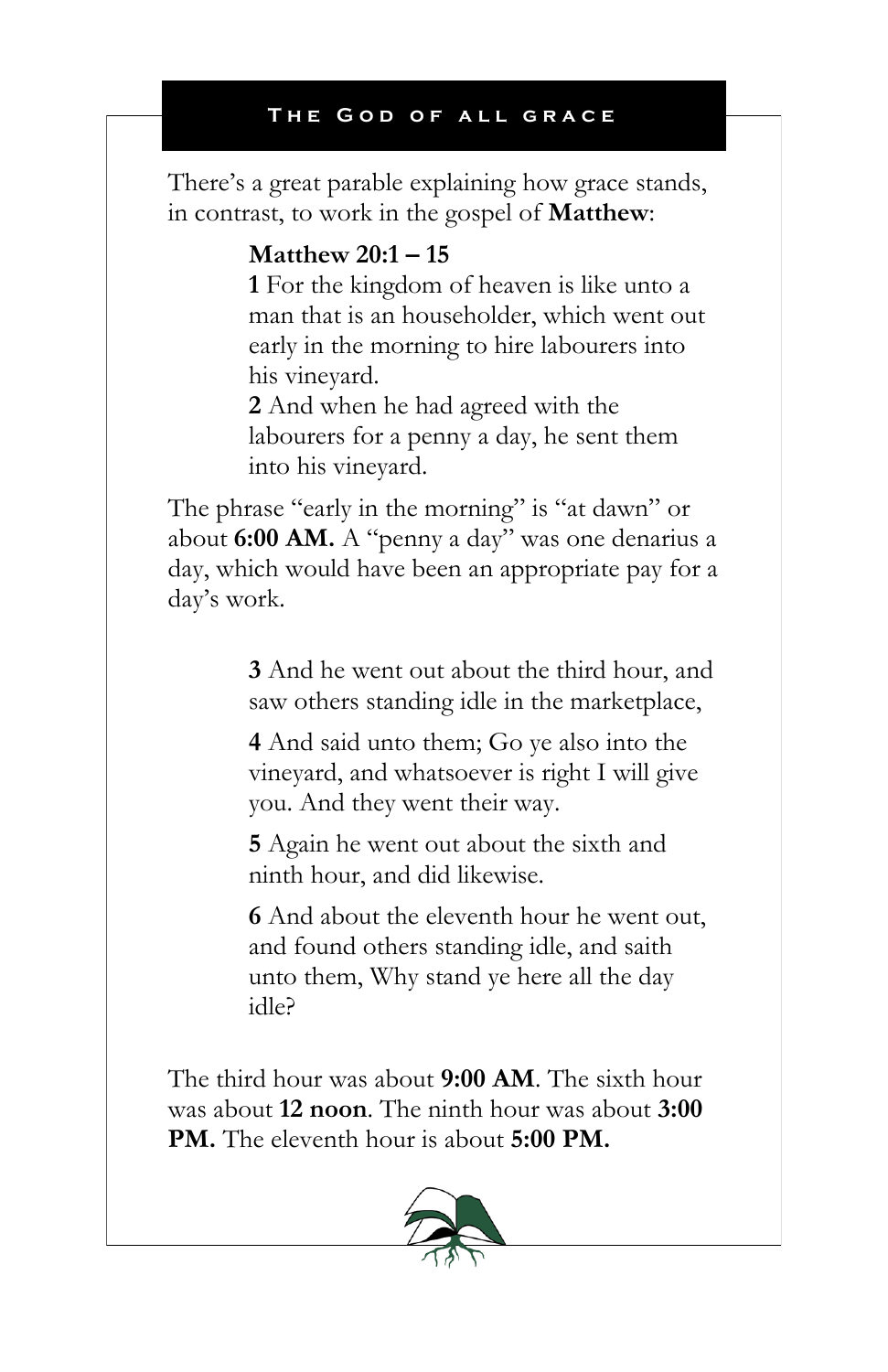There's a great parable explaining how grace stands, in contrast, to work in the gospel of **Matthew**:

## **Matthew 20:1 – 15**

**1** For the kingdom of heaven is like unto a man that is an householder, which went out early in the morning to hire labourers into his vineyard.

**2** And when he had agreed with the labourers for a penny a day, he sent them into his vineyard.

The phrase "early in the morning" is "at dawn" or about **6:00 AM.** A "penny a day" was one denarius a day, which would have been an appropriate pay for a day's work.

> **3** And he went out about the third hour, and saw others standing idle in the marketplace,

**4** And said unto them; Go ye also into the vineyard, and whatsoever is right I will give you. And they went their way.

**5** Again he went out about the sixth and ninth hour, and did likewise.

**6** And about the eleventh hour he went out, and found others standing idle, and saith unto them, Why stand ye here all the day idle?

The third hour was about **9:00 AM**. The sixth hour was about **12 noon**. The ninth hour was about **3:00 PM.** The eleventh hour is about **5:00 PM.** 

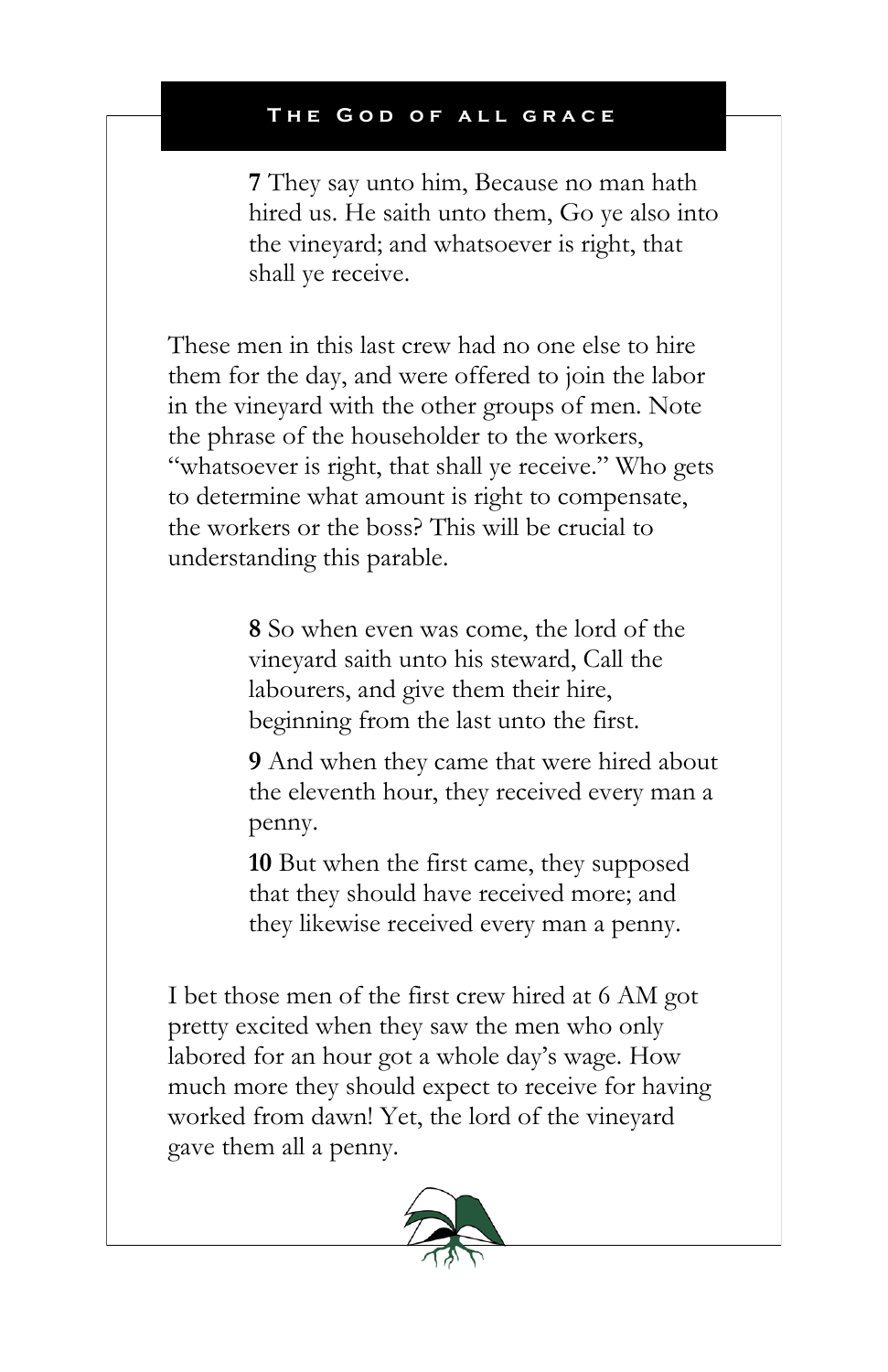**7** They say unto him, Because no man hath hired us. He saith unto them, Go ye also into the vineyard; and whatsoever is right, that shall ye receive.

These men in this last crew had no one else to hire them for the day, and were offered to join the labor in the vineyard with the other groups of men. Note the phrase of the householder to the workers, "whatsoever is right, that shall ye receive." Who gets to determine what amount is right to compensate, the workers or the boss? This will be crucial to understanding this parable.

> **8** So when even was come, the lord of the vineyard saith unto his steward, Call the labourers, and give them their hire, beginning from the last unto the first.

**9** And when they came that were hired about the eleventh hour, they received every man a penny.

**10** But when the first came, they supposed that they should have received more; and they likewise received every man a penny.

I bet those men of the first crew hired at 6 AM got pretty excited when they saw the men who only labored for an hour got a whole day's wage. How much more they should expect to receive for having worked from dawn! Yet, the lord of the vineyard gave them all a penny.

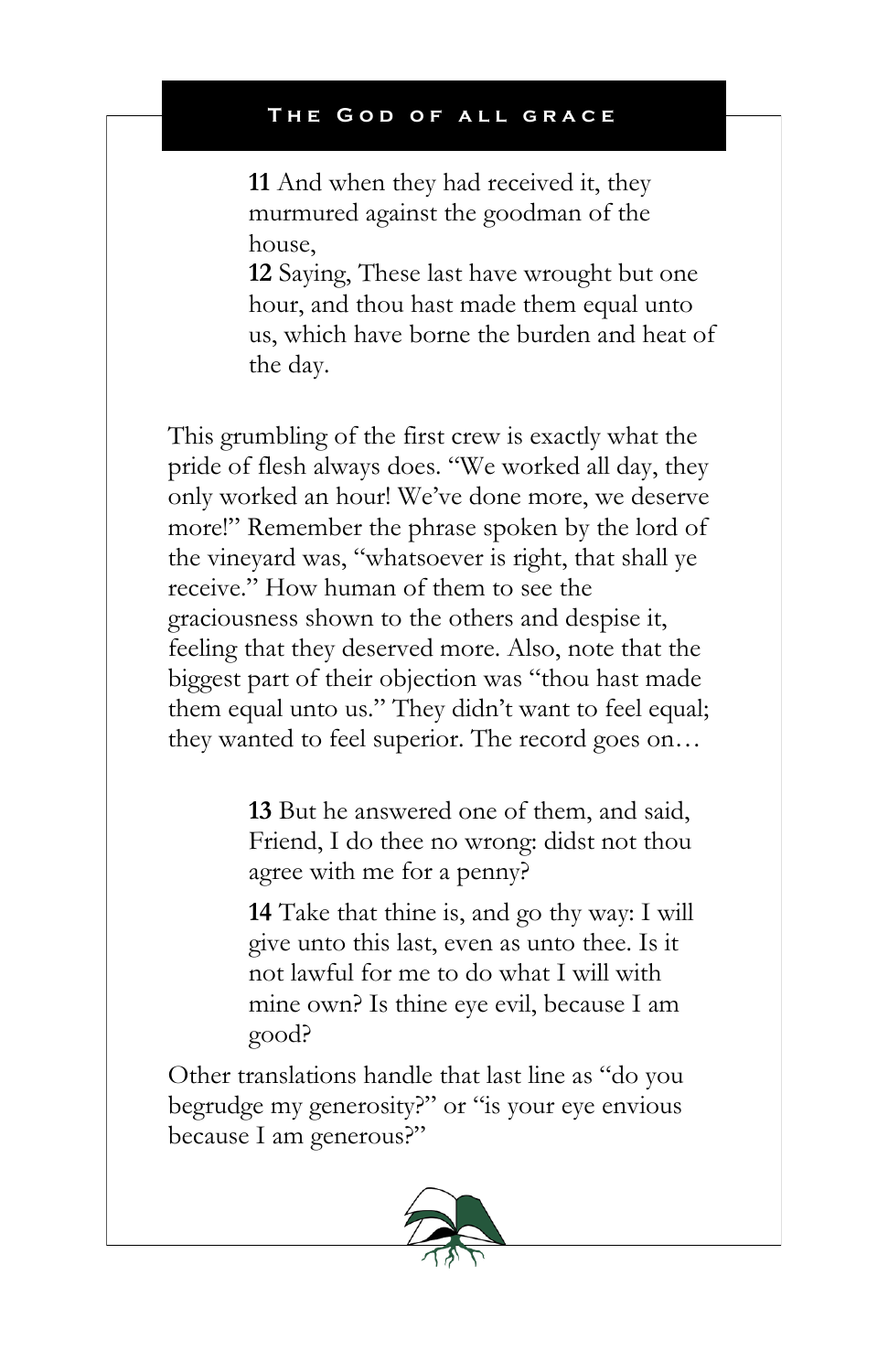**11** And when they had received it, they murmured against the goodman of the house,

**12** Saying, These last have wrought but one hour, and thou hast made them equal unto us, which have borne the burden and heat of the day.

This grumbling of the first crew is exactly what the pride of flesh always does. "We worked all day, they only worked an hour! We've done more, we deserve more!" Remember the phrase spoken by the lord of the vineyard was, "whatsoever is right, that shall ye receive." How human of them to see the graciousness shown to the others and despise it, feeling that they deserved more. Also, note that the biggest part of their objection was "thou hast made them equal unto us." They didn't want to feel equal; they wanted to feel superior. The record goes on…

> **13** But he answered one of them, and said, Friend, I do thee no wrong: didst not thou agree with me for a penny?

> **14** Take that thine is, and go thy way: I will give unto this last, even as unto thee. Is it not lawful for me to do what I will with mine own? Is thine eye evil, because I am good?

Other translations handle that last line as "do you begrudge my generosity?" or "is your eye envious because I am generous?"

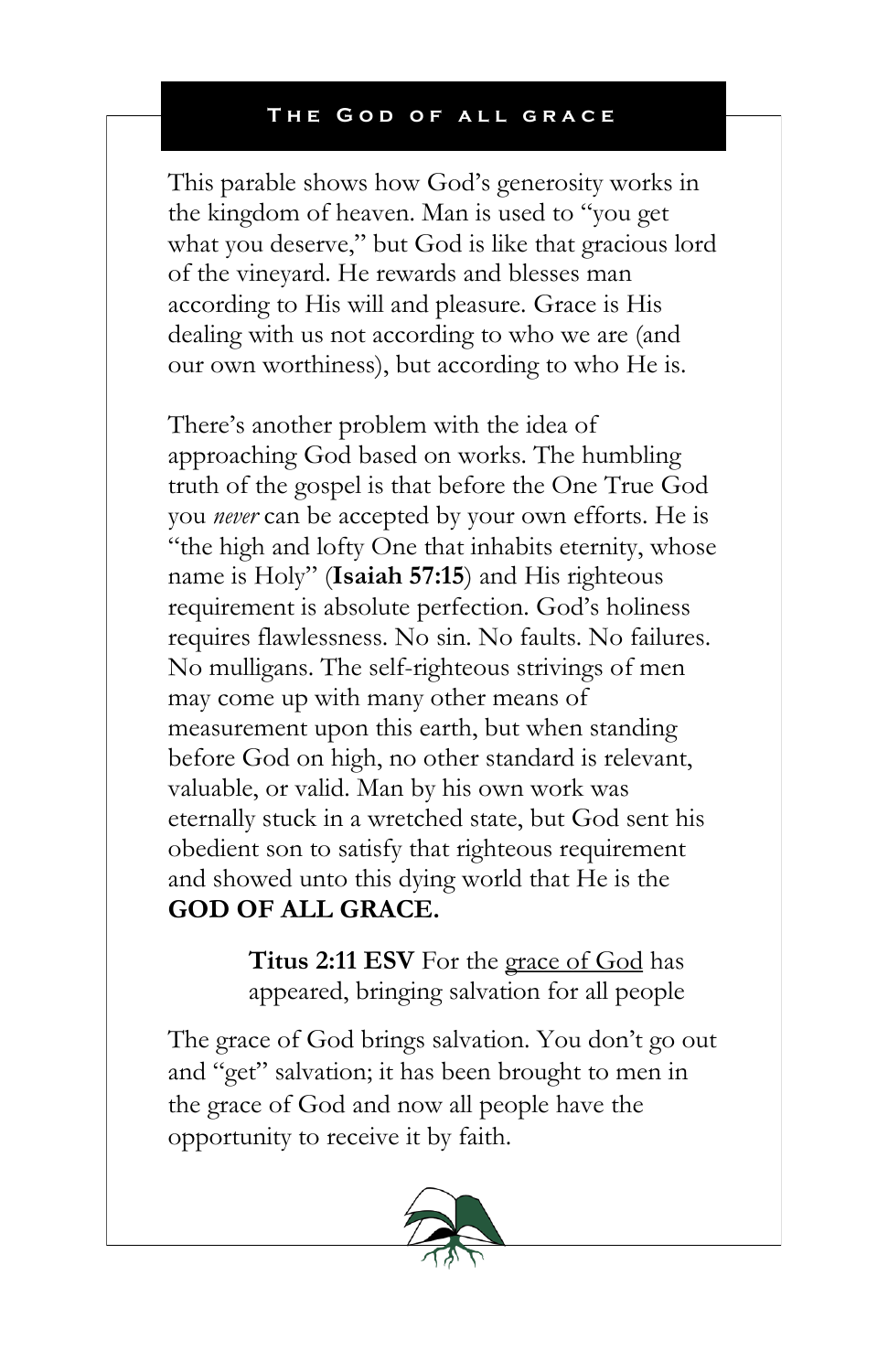This parable shows how God's generosity works in the kingdom of heaven. Man is used to "you get what you deserve," but God is like that gracious lord of the vineyard. He rewards and blesses man according to His will and pleasure. Grace is His dealing with us not according to who we are (and our own worthiness), but according to who He is.

There's another problem with the idea of approaching God based on works. The humbling truth of the gospel is that before the One True God you *never* can be accepted by your own efforts. He is "the high and lofty One that inhabits eternity, whose name is Holy" (**Isaiah 57:15**) and His righteous requirement is absolute perfection. God's holiness requires flawlessness. No sin. No faults. No failures. No mulligans. The self-righteous strivings of men may come up with many other means of measurement upon this earth, but when standing before God on high, no other standard is relevant, valuable, or valid. Man by his own work was eternally stuck in a wretched state, but God sent his obedient son to satisfy that righteous requirement and showed unto this dying world that He is the **GOD OF ALL GRACE.**

> **Titus 2:11 ESV** For the grace of God has appeared, bringing salvation for all people

The grace of God brings salvation. You don't go out and "get" salvation; it has been brought to men in the grace of God and now all people have the opportunity to receive it by faith.

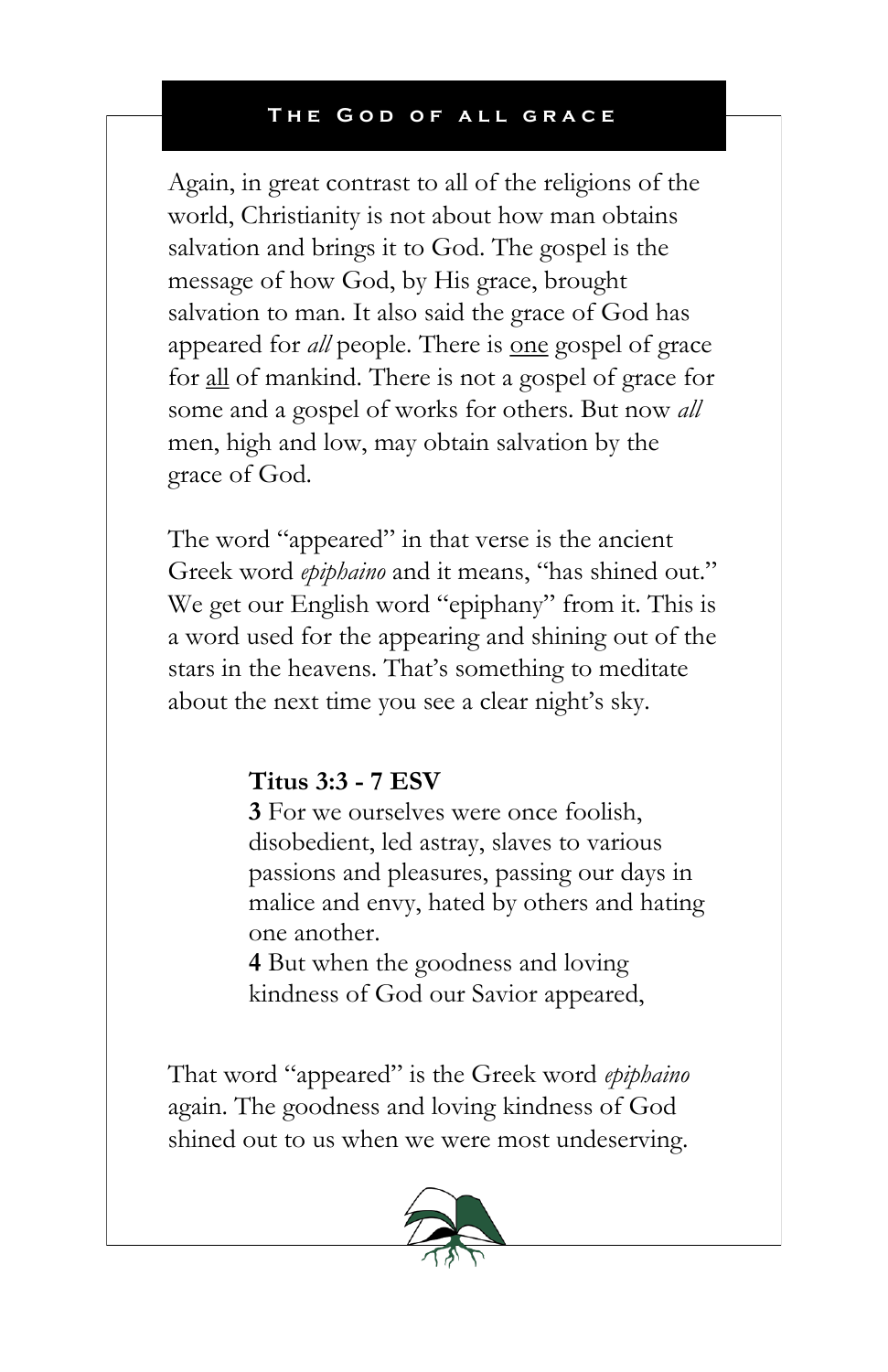Again, in great contrast to all of the religions of the world, Christianity is not about how man obtains salvation and brings it to God. The gospel is the message of how God, by His grace, brought salvation to man. It also said the grace of God has appeared for *all* people. There is <u>one</u> gospel of grace for all of mankind. There is not a gospel of grace for some and a gospel of works for others. But now *all* men, high and low, may obtain salvation by the grace of God.

The word "appeared" in that verse is the ancient Greek word *epiphaino* and it means, "has shined out." We get our English word "epiphany" from it. This is a word used for the appearing and shining out of the stars in the heavens. That's something to meditate about the next time you see a clear night's sky.

## **Titus 3:3 - 7 ESV**

**3** For we ourselves were once foolish, disobedient, led astray, slaves to various passions and pleasures, passing our days in malice and envy, hated by others and hating one another.

**4** But when the goodness and loving kindness of God our Savior appeared,

That word "appeared" is the Greek word *epiphaino* again. The goodness and loving kindness of God shined out to us when we were most undeserving.

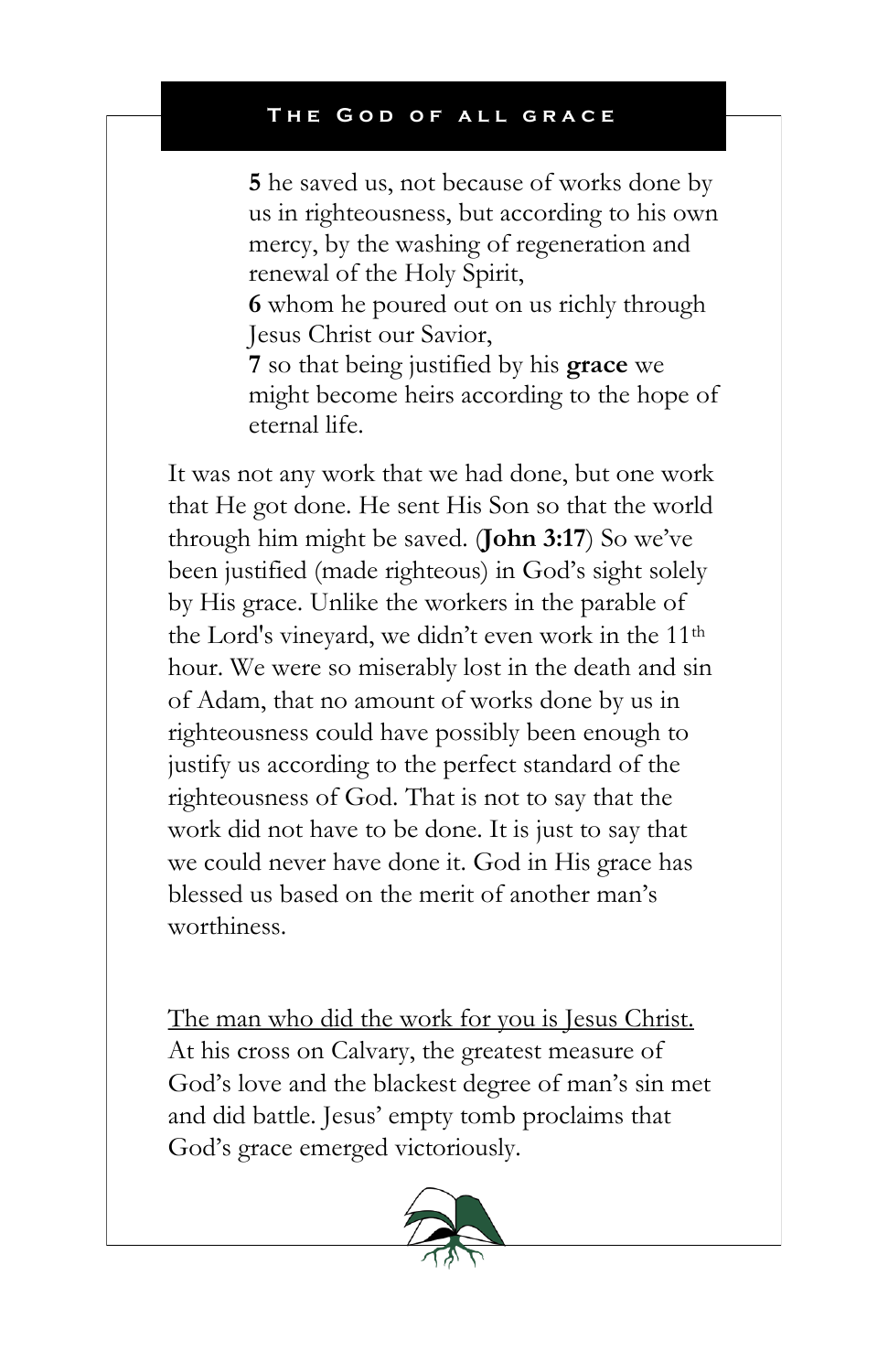**5** he saved us, not because of works done by us in righteousness, but according to his own mercy, by the washing of regeneration and renewal of the Holy Spirit,

**6** whom he poured out on us richly through Jesus Christ our Savior,

**7** so that being justified by his **grace** we might become heirs according to the hope of eternal life.

It was not any work that we had done, but one work that He got done. He sent His Son so that the world through him might be saved. (**John 3:17**) So we've been justified (made righteous) in God's sight solely by His grace. Unlike the workers in the parable of the Lord's vineyard, we didn't even work in the 11th hour. We were so miserably lost in the death and sin of Adam, that no amount of works done by us in righteousness could have possibly been enough to justify us according to the perfect standard of the righteousness of God. That is not to say that the work did not have to be done. It is just to say that we could never have done it. God in His grace has blessed us based on the merit of another man's worthiness.

The man who did the work for you is Jesus Christ. At his cross on Calvary, the greatest measure of God's love and the blackest degree of man's sin met and did battle. Jesus' empty tomb proclaims that God's grace emerged victoriously.

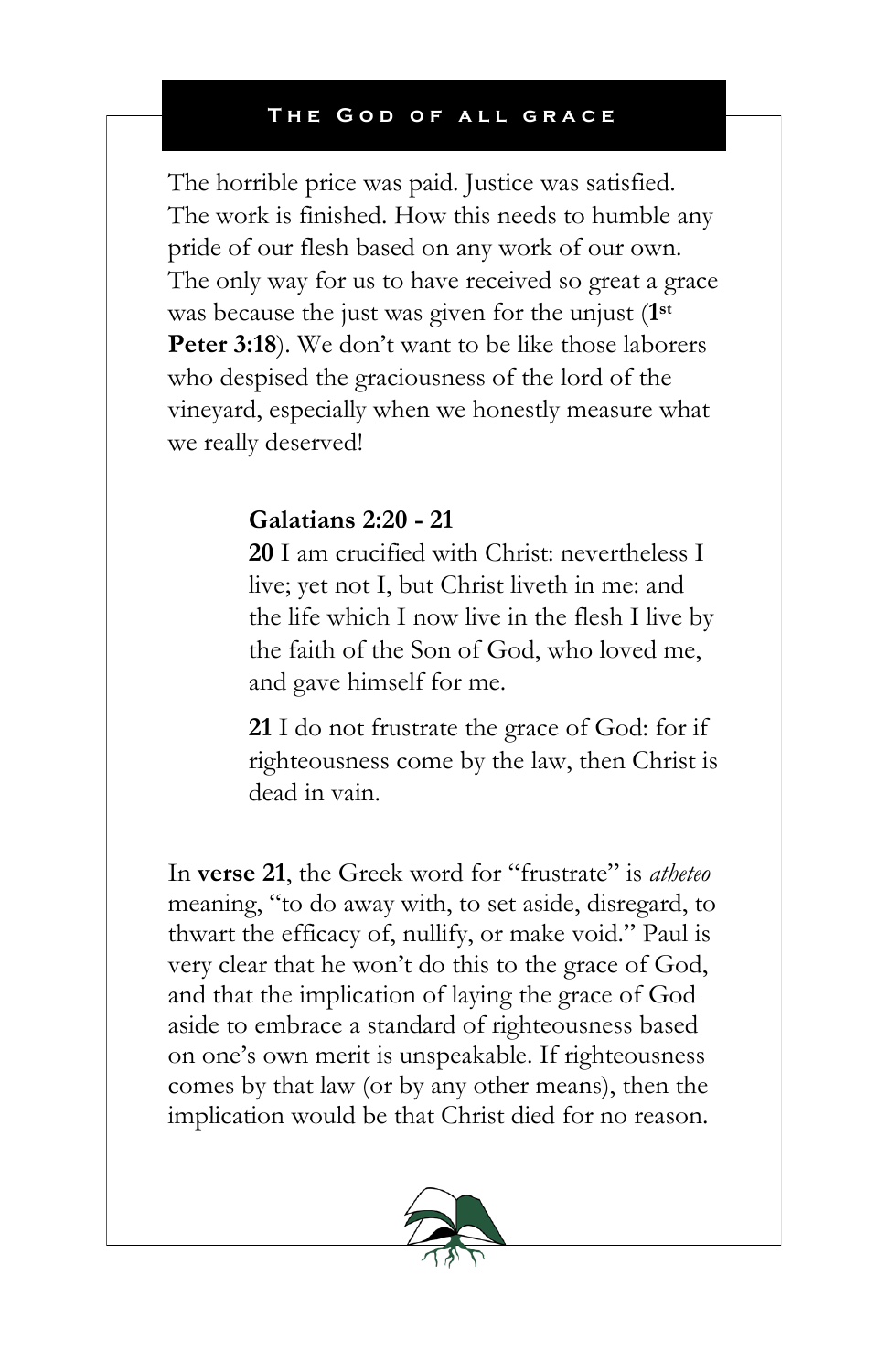The horrible price was paid. Justice was satisfied. The work is finished. How this needs to humble any pride of our flesh based on any work of our own. The only way for us to have received so great a grace was because the just was given for the unjust (**1 st** Peter 3:18). We don't want to be like those laborers who despised the graciousness of the lord of the vineyard, especially when we honestly measure what we really deserved!

## **Galatians 2:20 - 21**

**20** I am crucified with Christ: nevertheless I live; yet not I, but Christ liveth in me: and the life which I now live in the flesh I live by the faith of the Son of God, who loved me, and gave himself for me.

**21** I do not frustrate the grace of God: for if righteousness come by the law, then Christ is dead in vain.

In **verse 21**, the Greek word for "frustrate" is *atheteo* meaning, "to do away with, to set aside, disregard, to thwart the efficacy of, nullify, or make void." Paul is very clear that he won't do this to the grace of God, and that the implication of laying the grace of God aside to embrace a standard of righteousness based on one's own merit is unspeakable. If righteousness comes by that law (or by any other means), then the implication would be that Christ died for no reason.

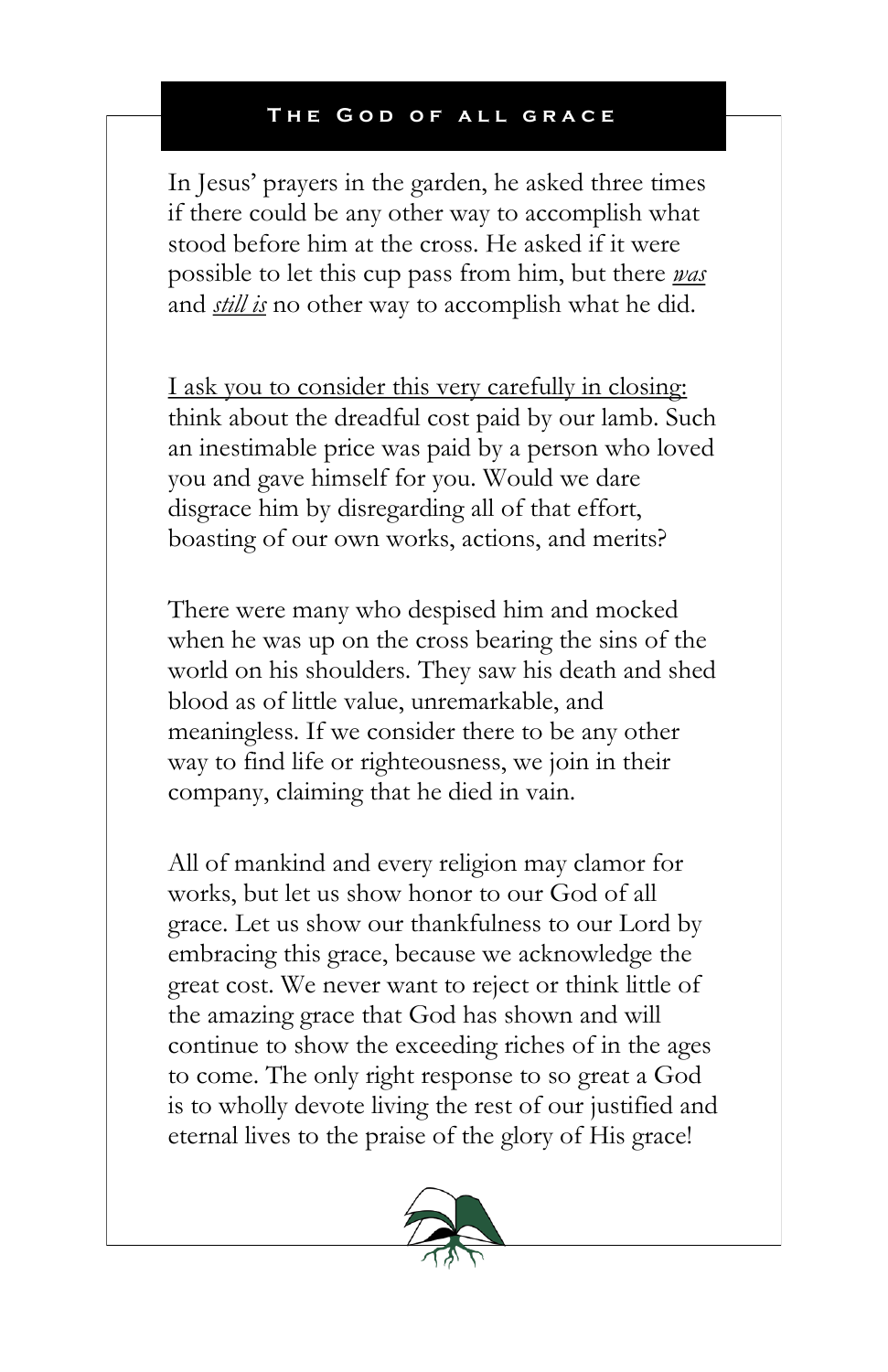In Jesus' prayers in the garden, he asked three times if there could be any other way to accomplish what stood before him at the cross. He asked if it were possible to let this cup pass from him, but there *was* and *still is* no other way to accomplish what he did.

I ask you to consider this very carefully in closing: think about the dreadful cost paid by our lamb. Such an inestimable price was paid by a person who loved you and gave himself for you. Would we dare disgrace him by disregarding all of that effort, boasting of our own works, actions, and merits?

There were many who despised him and mocked when he was up on the cross bearing the sins of the world on his shoulders. They saw his death and shed blood as of little value, unremarkable, and meaningless. If we consider there to be any other way to find life or righteousness, we join in their company, claiming that he died in vain.

All of mankind and every religion may clamor for works, but let us show honor to our God of all grace. Let us show our thankfulness to our Lord by embracing this grace, because we acknowledge the great cost. We never want to reject or think little of the amazing grace that God has shown and will continue to show the exceeding riches of in the ages to come. The only right response to so great a God is to wholly devote living the rest of our justified and eternal lives to the praise of the glory of His grace!